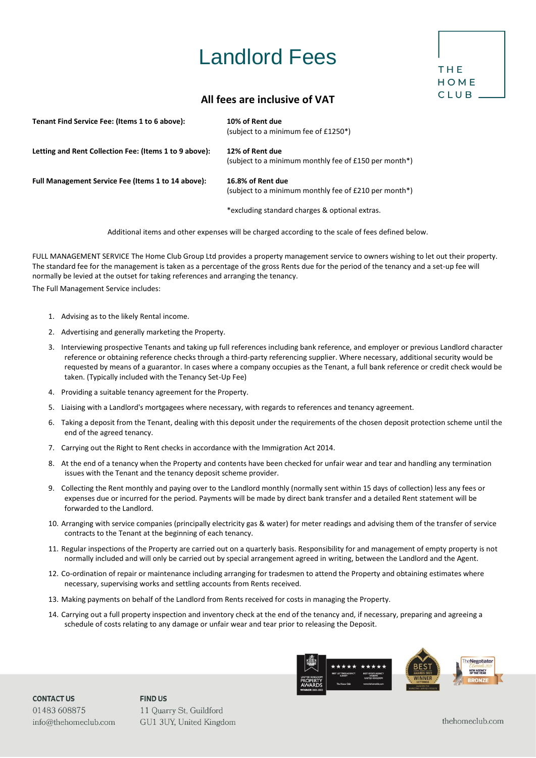## Landlord Fees



## **All fees are inclusive of VAT**

| Tenant Find Service Fee: (Items 1 to 6 above):         | 10% of Rent due<br>(subject to a minimum fee of £1250*)                    |
|--------------------------------------------------------|----------------------------------------------------------------------------|
| Letting and Rent Collection Fee: (Items 1 to 9 above): | 12% of Rent due<br>(subject to a minimum monthly fee of £150 per month*)   |
| Full Management Service Fee (Items 1 to 14 above):     | 16.8% of Rent due<br>(subject to a minimum monthly fee of £210 per month*) |
|                                                        | *excluding standard charges & optional extras.                             |

Additional items and other expenses will be charged according to the scale of fees defined below.

FULL MANAGEMENT SERVICE The Home Club Group Ltd provides a property management service to owners wishing to let out their property. The standard fee for the management is taken as a percentage of the gross Rents due for the period of the tenancy and a set-up fee will normally be levied at the outset for taking references and arranging the tenancy.

The Full Management Service includes:

- 1. Advising as to the likely Rental income.
- 2. Advertising and generally marketing the Property.
- 3. Interviewing prospective Tenants and taking up full references including bank reference, and employer or previous Landlord character reference or obtaining reference checks through a third-party referencing supplier. Where necessary, additional security would be requested by means of a guarantor. In cases where a company occupies as the Tenant, a full bank reference or credit check would be taken. (Typically included with the Tenancy Set-Up Fee)
- 4. Providing a suitable tenancy agreement for the Property.
- 5. Liaising with a Landlord's mortgagees where necessary, with regards to references and tenancy agreement.
- 6. Taking a deposit from the Tenant, dealing with this deposit under the requirements of the chosen deposit protection scheme until the end of the agreed tenancy.
- 7. Carrying out the Right to Rent checks in accordance with the Immigration Act 2014.
- 8. At the end of a tenancy when the Property and contents have been checked for unfair wear and tear and handling any termination issues with the Tenant and the tenancy deposit scheme provider.
- 9. Collecting the Rent monthly and paying over to the Landlord monthly (normally sent within 15 days of collection) less any fees or expenses due or incurred for the period. Payments will be made by direct bank transfer and a detailed Rent statement will be forwarded to the Landlord.
- 10. Arranging with service companies (principally electricity gas & water) for meter readings and advising them of the transfer of service contracts to the Tenant at the beginning of each tenancy.
- 11. Regular inspections of the Property are carried out on a quarterly basis. Responsibility for and management of empty property is not normally included and will only be carried out by special arrangement agreed in writing, between the Landlord and the Agent.
- 12. Co-ordination of repair or maintenance including arranging for tradesmen to attend the Property and obtaining estimates where necessary, supervising works and settling accounts from Rents received.
- 13. Making payments on behalf of the Landlord from Rents received for costs in managing the Property.
- 14. Carrying out a full property inspection and inventory check at the end of the tenancy and, if necessary, preparing and agreeing a schedule of costs relating to any damage or unfair wear and tear prior to releasing the Deposit.



**CONTACT US** 01483 608875 info@thehomeclub.com **FIND US** 11 Quarry St, Guildford GU1 3UY, United Kingdom